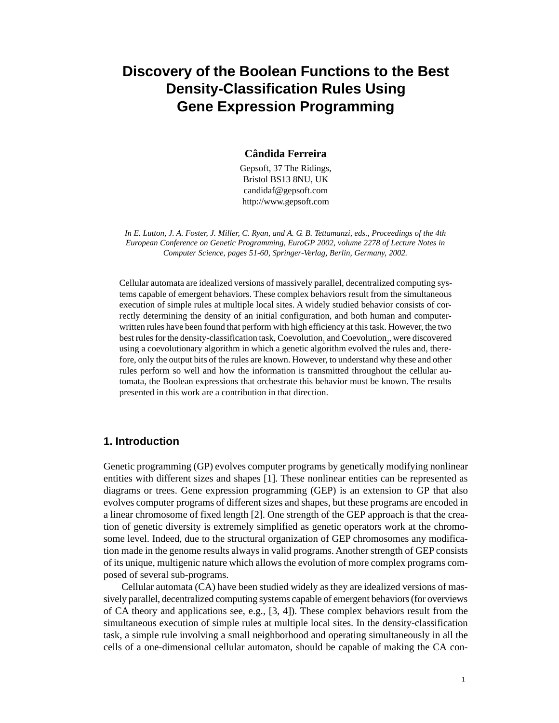# **Discovery of the Boolean Functions to the Best Density-Classification Rules Using Gene Expression Programming**

#### **Cândida Ferreira**

Gepsoft, 37 The Ridings, Bristol BS13 8NU, UK candidaf@gepsoft.com http://www.gepsoft.com

*In E. Lutton, J. A. Foster, J. Miller, C. Ryan, and A. G. B. Tettamanzi, eds., Proceedings of the 4th European Conference on Genetic Programming, EuroGP 2002, volume 2278 of Lecture Notes in Computer Science, pages 51-60, Springer-Verlag, Berlin, Germany, 2002.*

Cellular automata are idealized versions of massively parallel, decentralized computing systems capable of emergent behaviors. These complex behaviors result from the simultaneous execution of simple rules at multiple local sites. A widely studied behavior consists of correctly determining the density of an initial configuration, and both human and computerwritten rules have been found that perform with high efficiency at this task. However, the two best rules for the density-classification task, Coevolution<sub>1</sub> and Coevolution<sub>2</sub>, were discovered using a coevolutionary algorithm in which a genetic algorithm evolved the rules and, therefore, only the output bits of the rules are known. However, to understand why these and other rules perform so well and how the information is transmitted throughout the cellular automata, the Boolean expressions that orchestrate this behavior must be known. The results presented in this work are a contribution in that direction.

#### **1. Introduction**

Genetic programming (GP) evolves computer programs by genetically modifying nonlinear entities with different sizes and shapes [1]. These nonlinear entities can be represented as diagrams or trees. Gene expression programming (GEP) is an extension to GP that also evolves computer programs of different sizes and shapes, but these programs are encoded in a linear chromosome of fixed length [2]. One strength of the GEP approach is that the creation of genetic diversity is extremely simplified as genetic operators work at the chromosome level. Indeed, due to the structural organization of GEP chromosomes any modification made in the genome results always in valid programs. Another strength of GEP consists of its unique, multigenic nature which allows the evolution of more complex programs composed of several sub-programs.

Cellular automata (CA) have been studied widely as they are idealized versions of massively parallel, decentralized computing systems capable of emergent behaviors (for overviews of CA theory and applications see, e.g., [3, 4]). These complex behaviors result from the simultaneous execution of simple rules at multiple local sites. In the density-classification task, a simple rule involving a small neighborhood and operating simultaneously in all the cells of a one-dimensional cellular automaton, should be capable of making the CA con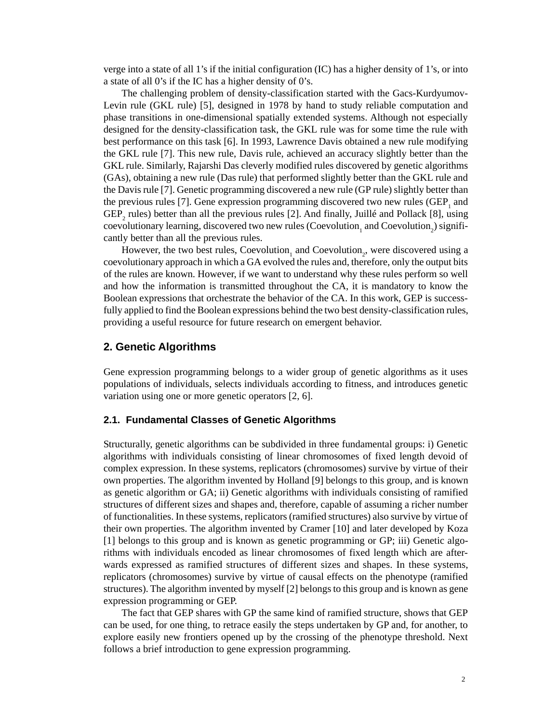verge into a state of all 1's if the initial configuration (IC) has a higher density of 1's, or into a state of all 0's if the IC has a higher density of 0's.

The challenging problem of density-classification started with the Gacs-Kurdyumov-Levin rule (GKL rule) [5], designed in 1978 by hand to study reliable computation and phase transitions in one-dimensional spatially extended systems. Although not especially designed for the density-classification task, the GKL rule was for some time the rule with best performance on this task [6]. In 1993, Lawrence Davis obtained a new rule modifying the GKL rule [7]. This new rule, Davis rule, achieved an accuracy slightly better than the GKL rule. Similarly, Rajarshi Das cleverly modified rules discovered by genetic algorithms (GAs), obtaining a new rule (Das rule) that performed slightly better than the GKL rule and the Davis rule [7]. Genetic programming discovered a new rule (GP rule) slightly better than the previous rules [7]. Gene expression programming discovered two new rules  $(GEP_1)$  and  $\text{GEP}_2$  rules) better than all the previous rules [2]. And finally, Juillé and Pollack [8], using coevolutionary learning, discovered two new rules (Coevolution<sub>1</sub> and Coevolution<sub>2</sub>) significantly better than all the previous rules.

However, the two best rules, Coevolution<sub>1</sub> and Coevolution<sub>2</sub>, were discovered using a coevolutionary approach in which a GA evolved the rules and, therefore, only the output bits of the rules are known. However, if we want to understand why these rules perform so well and how the information is transmitted throughout the CA, it is mandatory to know the Boolean expressions that orchestrate the behavior of the CA. In this work, GEP is successfully applied to find the Boolean expressions behind the two best density-classification rules, providing a useful resource for future research on emergent behavior.

### **2. Genetic Algorithms**

Gene expression programming belongs to a wider group of genetic algorithms as it uses populations of individuals, selects individuals according to fitness, and introduces genetic variation using one or more genetic operators [2, 6].

#### **2.1. Fundamental Classes of Genetic Algorithms**

Structurally, genetic algorithms can be subdivided in three fundamental groups: i) Genetic algorithms with individuals consisting of linear chromosomes of fixed length devoid of complex expression. In these systems, replicators (chromosomes) survive by virtue of their own properties. The algorithm invented by Holland [9] belongs to this group, and is known as genetic algorithm or GA; ii) Genetic algorithms with individuals consisting of ramified structures of different sizes and shapes and, therefore, capable of assuming a richer number of functionalities. In these systems, replicators (ramified structures) also survive by virtue of their own properties. The algorithm invented by Cramer [10] and later developed by Koza [1] belongs to this group and is known as genetic programming or GP; iii) Genetic algorithms with individuals encoded as linear chromosomes of fixed length which are afterwards expressed as ramified structures of different sizes and shapes. In these systems, replicators (chromosomes) survive by virtue of causal effects on the phenotype (ramified structures). The algorithm invented by myself [2] belongs to this group and is known as gene expression programming or GEP.

The fact that GEP shares with GP the same kind of ramified structure, shows that GEP can be used, for one thing, to retrace easily the steps undertaken by GP and, for another, to explore easily new frontiers opened up by the crossing of the phenotype threshold. Next follows a brief introduction to gene expression programming.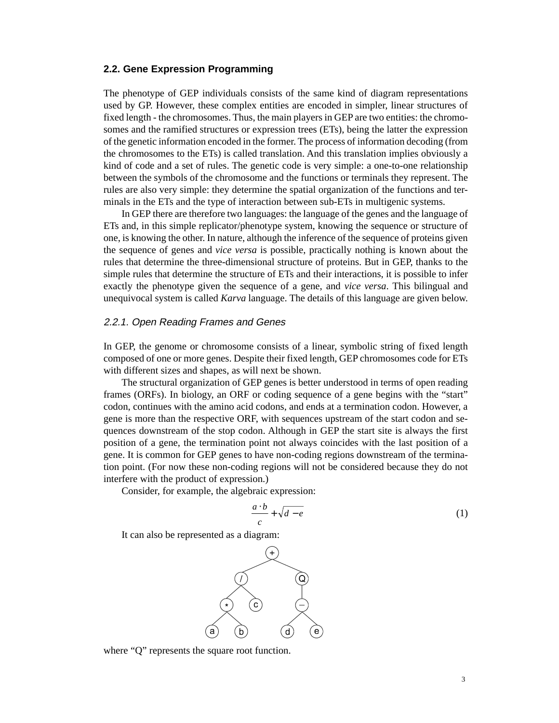#### **2.2. Gene Expression Programming**

The phenotype of GEP individuals consists of the same kind of diagram representations used by GP. However, these complex entities are encoded in simpler, linear structures of fixed length - the chromosomes. Thus, the main players in GEP are two entities: the chromosomes and the ramified structures or expression trees (ETs), being the latter the expression of the genetic information encoded in the former. The process of information decoding (from the chromosomes to the ETs) is called translation. And this translation implies obviously a kind of code and a set of rules. The genetic code is very simple: a one-to-one relationship between the symbols of the chromosome and the functions or terminals they represent. The rules are also very simple: they determine the spatial organization of the functions and terminals in the ETs and the type of interaction between sub-ETs in multigenic systems.

In GEP there are therefore two languages: the language of the genes and the language of ETs and, in this simple replicator/phenotype system, knowing the sequence or structure of one, is knowing the other. In nature, although the inference of the sequence of proteins given the sequence of genes and *vice versa* is possible, practically nothing is known about the rules that determine the three-dimensional structure of proteins. But in GEP, thanks to the simple rules that determine the structure of ETs and their interactions, it is possible to infer exactly the phenotype given the sequence of a gene, and *vice versa*. This bilingual and unequivocal system is called *Karva* language. The details of this language are given below.

#### 2.2.1. Open Reading Frames and Genes

In GEP, the genome or chromosome consists of a linear, symbolic string of fixed length composed of one or more genes. Despite their fixed length, GEP chromosomes code for ETs with different sizes and shapes, as will next be shown.

The structural organization of GEP genes is better understood in terms of open reading frames (ORFs). In biology, an ORF or coding sequence of a gene begins with the "start" codon, continues with the amino acid codons, and ends at a termination codon. However, a gene is more than the respective ORF, with sequences upstream of the start codon and sequences downstream of the stop codon. Although in GEP the start site is always the first position of a gene, the termination point not always coincides with the last position of a gene. It is common for GEP genes to have non-coding regions downstream of the termination point. (For now these non-coding regions will not be considered because they do not interfere with the product of expression.)

Consider, for example, the algebraic expression:

$$
\frac{a \cdot b}{c} + \sqrt{d - e} \tag{1}
$$

It can also be represented as a diagram:



where "Q" represents the square root function.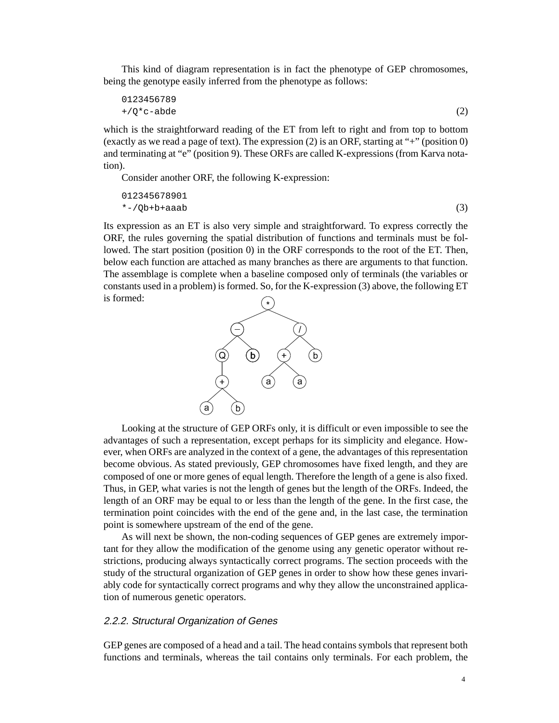This kind of diagram representation is in fact the phenotype of GEP chromosomes, being the genotype easily inferred from the phenotype as follows:

$$
0123456789
$$
  
+/ $Q$ \*c-abde (2)

which is the straightforward reading of the ET from left to right and from top to bottom (exactly as we read a page of text). The expression (2) is an ORF, starting at "+" (position 0) and terminating at "e" (position 9). These ORFs are called K-expressions (from Karva notation).

Consider another ORF, the following K-expression:

$$
012345678901
$$
  
\*-/ $Q$ b+b+aaab (3)

Its expression as an ET is also very simple and straightforward. To express correctly the ORF, the rules governing the spatial distribution of functions and terminals must be followed. The start position (position 0) in the ORF corresponds to the root of the ET. Then, below each function are attached as many branches as there are arguments to that function. The assemblage is complete when a baseline composed only of terminals (the variables or constants used in a problem) is formed. So, for the K-expression (3) above, the following ET is formed:



Looking at the structure of GEP ORFs only, it is difficult or even impossible to see the advantages of such a representation, except perhaps for its simplicity and elegance. However, when ORFs are analyzed in the context of a gene, the advantages of this representation become obvious. As stated previously, GEP chromosomes have fixed length, and they are composed of one or more genes of equal length. Therefore the length of a gene is also fixed. Thus, in GEP, what varies is not the length of genes but the length of the ORFs. Indeed, the length of an ORF may be equal to or less than the length of the gene. In the first case, the termination point coincides with the end of the gene and, in the last case, the termination point is somewhere upstream of the end of the gene.

As will next be shown, the non-coding sequences of GEP genes are extremely important for they allow the modification of the genome using any genetic operator without restrictions, producing always syntactically correct programs. The section proceeds with the study of the structural organization of GEP genes in order to show how these genes invariably code for syntactically correct programs and why they allow the unconstrained application of numerous genetic operators.

#### 2.2.2. Structural Organization of Genes

GEP genes are composed of a head and a tail. The head contains symbols that represent both functions and terminals, whereas the tail contains only terminals. For each problem, the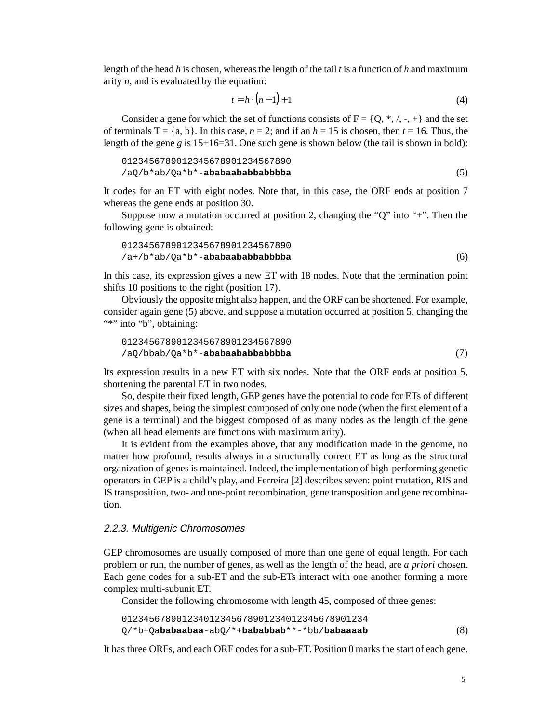length of the head *h* is chosen, whereas the length of the tail *t* is a function of *h* and maximum arity *n*, and is evaluated by the equation:

$$
t = h \cdot (n-1) + 1 \tag{4}
$$

Consider a gene for which the set of functions consists of  $F = \{Q, *, /, -, +\}$  and the set of terminals  $T = \{a, b\}$ . In this case,  $n = 2$ ; and if an  $h = 15$  is chosen, then  $t = 16$ . Thus, the length of the gene  $g$  is  $15+16=31$ . One such gene is shown below (the tail is shown in bold):

$$
0123456789012345678901234567890
$$
  
\n[0.5\)](mailto/aq/b*ab/qa*b*-<b>ababababbbba</b></a>\n<math display=)

It codes for an ET with eight nodes. Note that, in this case, the ORF ends at position 7 whereas the gene ends at position 30.

Suppose now a mutation occurred at position 2, changing the "Q" into "+". Then the following gene is obtained:

$$
0123456789012345678901234567890
$$
  
\n
$$
(\alpha + \beta + \alpha) \alpha + \beta + \alpha
$$

In this case, its expression gives a new ET with 18 nodes. Note that the termination point shifts 10 positions to the right (position 17).

Obviously the opposite might also happen, and the ORF can be shortened. For example, consider again gene (5) above, and suppose a mutation occurred at position 5, changing the "\*" into "b", obtaining:

$$
0123456789012345678901234567890
$$
  
\n<a href="mailto/aq/bbab/Qa\*b\*-<b>ababababbbba

Its expression results in a new ET with six nodes. Note that the ORF ends at position 5, shortening the parental ET in two nodes.

So, despite their fixed length, GEP genes have the potential to code for ETs of different sizes and shapes, being the simplest composed of only one node (when the first element of a gene is a terminal) and the biggest composed of as many nodes as the length of the gene (when all head elements are functions with maximum arity).

It is evident from the examples above, that any modification made in the genome, no matter how profound, results always in a structurally correct ET as long as the structural organization of genes is maintained. Indeed, the implementation of high-performing genetic operators in GEP is a child's play, and Ferreira [2] describes seven: point mutation, RIS and IS transposition, two- and one-point recombination, gene transposition and gene recombination.

#### 2.2.3. Multigenic Chromosomes

GEP chromosomes are usually composed of more than one gene of equal length. For each problem or run, the number of genes, as well as the length of the head, are *a priori* chosen. Each gene codes for a sub-ET and the sub-ETs interact with one another forming a more complex multi-subunit ET.

Consider the following chromosome with length 45, composed of three genes:

012345678901234012345678901234012345678901234 Q/\*b+Qa**babaabaa**-abQ/\*+**bababbab**\*\*-\*bb/**babaaaab** (8)

It has three ORFs, and each ORF codes for a sub-ET. Position 0 marks the start of each gene.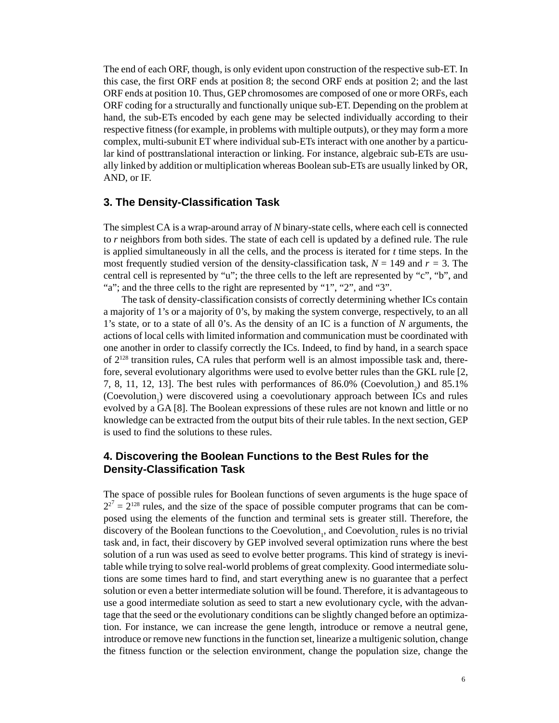The end of each ORF, though, is only evident upon construction of the respective sub-ET. In this case, the first ORF ends at position 8; the second ORF ends at position 2; and the last ORF ends at position 10. Thus, GEP chromosomes are composed of one or more ORFs, each ORF coding for a structurally and functionally unique sub-ET. Depending on the problem at hand, the sub-ETs encoded by each gene may be selected individually according to their respective fitness (for example, in problems with multiple outputs), or they may form a more complex, multi-subunit ET where individual sub-ETs interact with one another by a particular kind of posttranslational interaction or linking. For instance, algebraic sub-ETs are usually linked by addition or multiplication whereas Boolean sub-ETs are usually linked by OR, AND, or IF.

### **3. The Density-Classification Task**

The simplest CA is a wrap-around array of *N* binary-state cells, where each cell is connected to *r* neighbors from both sides. The state of each cell is updated by a defined rule. The rule is applied simultaneously in all the cells, and the process is iterated for *t* time steps. In the most frequently studied version of the density-classification task,  $N = 149$  and  $r = 3$ . The central cell is represented by "u"; the three cells to the left are represented by "c", "b", and "a"; and the three cells to the right are represented by "1", "2", and "3".

The task of density-classification consists of correctly determining whether ICs contain a majority of 1's or a majority of 0's, by making the system converge, respectively, to an all 1's state, or to a state of all 0's. As the density of an IC is a function of *N* arguments, the actions of local cells with limited information and communication must be coordinated with one another in order to classify correctly the ICs. Indeed, to find by hand, in a search space of 2128 transition rules, CA rules that perform well is an almost impossible task and, therefore, several evolutionary algorithms were used to evolve better rules than the GKL rule [2, 7, 8, 11, 12, 13]. The best rules with performances of 86.0% (Coevolution<sub>2</sub>) and 85.1%  $(Coevolution<sub>1</sub>)$  were discovered using a coevolutionary approach between ICs and rules evolved by a GA [8]. The Boolean expressions of these rules are not known and little or no knowledge can be extracted from the output bits of their rule tables. In the next section, GEP is used to find the solutions to these rules.

## **4. Discovering the Boolean Functions to the Best Rules for the Density-Classification Task**

The space of possible rules for Boolean functions of seven arguments is the huge space of  $2^{27} = 2^{128}$  rules, and the size of the space of possible computer programs that can be composed using the elements of the function and terminal sets is greater still. Therefore, the discovery of the Boolean functions to the Coevolution<sub>1</sub>, and Coevolution<sub>2</sub> rules is no trivial task and, in fact, their discovery by GEP involved several optimization runs where the best solution of a run was used as seed to evolve better programs. This kind of strategy is inevitable while trying to solve real-world problems of great complexity. Good intermediate solutions are some times hard to find, and start everything anew is no guarantee that a perfect solution or even a better intermediate solution will be found. Therefore, it is advantageous to use a good intermediate solution as seed to start a new evolutionary cycle, with the advantage that the seed or the evolutionary conditions can be slightly changed before an optimization. For instance, we can increase the gene length, introduce or remove a neutral gene, introduce or remove new functions in the function set, linearize a multigenic solution, change the fitness function or the selection environment, change the population size, change the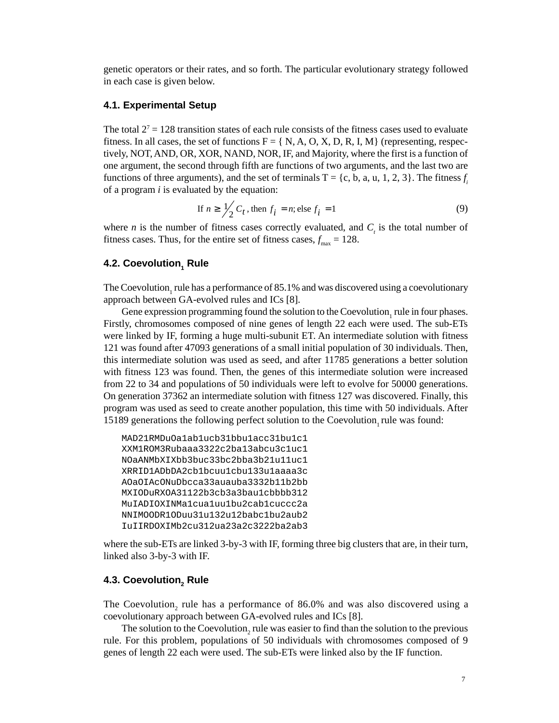genetic operators or their rates, and so forth. The particular evolutionary strategy followed in each case is given below.

#### **4.1. Experimental Setup**

The total  $2^7 = 128$  transition states of each rule consists of the fitness cases used to evaluate fitness. In all cases, the set of functions  $F = \{ N, A, O, X, D, R, I, M \}$  (representing, respectively, NOT, AND, OR, XOR, NAND, NOR, IF, and Majority, where the first is a function of one argument, the second through fifth are functions of two arguments, and the last two are functions of three arguments), and the set of terminals  $T = \{c, b, a, u, 1, 2, 3\}$ . The fitness  $f_i$ of a program *i* is evaluated by the equation:

If 
$$
n \ge \frac{1}{2}C_t
$$
, then  $f_i = n$ ; else  $f_i = 1$  (9)

where *n* is the number of fitness cases correctly evaluated, and  $C<sub>i</sub>$  is the total number of fitness cases. Thus, for the entire set of fitness cases,  $f_{\text{max}} = 128$ .

# 4.2. Coevolution<sub>1</sub> Rule

The Coevolution<sub>1</sub> rule has a performance of 85.1% and was discovered using a coevolutionary approach between GA-evolved rules and ICs [8].

Gene expression programming found the solution to the Coevolution $_1$  rule in four phases. Firstly, chromosomes composed of nine genes of length 22 each were used. The sub-ETs were linked by IF, forming a huge multi-subunit ET. An intermediate solution with fitness 121 was found after 47093 generations of a small initial population of 30 individuals. Then, this intermediate solution was used as seed, and after 11785 generations a better solution with fitness 123 was found. Then, the genes of this intermediate solution were increased from 22 to 34 and populations of 50 individuals were left to evolve for 50000 generations. On generation 37362 an intermediate solution with fitness 127 was discovered. Finally, this program was used as seed to create another population, this time with 50 individuals. After 15189 generations the following perfect solution to the Coevolution, rule was found:

```
MAD21RMDuOa1ab1ucb31bbu1acc31bu1c1
XXM1ROM3Rubaaa3322c2ba13abcu3c1uc1
NOaANMbXIXbb3buc33bc2bba3b21u11uc1
XRRID1ADbDA2cb1bcuu1cbu133u1aaaa3c
AOaOIAcONuDbcca33auauba3332b11b2bb
MXIODuRXOA31122b3cb3a3bau1cbbbb312
MuIADIOXINMa1cua1uu1bu2cab1cuccc2a
NNIMOODR1ODuu31u132u12babc1bu2aub2
IuIIRDOXIMb2cu312ua23a2c3222ba2ab3
```
where the sub-ETs are linked 3-by-3 with IF, forming three big clusters that are, in their turn, linked also 3-by-3 with IF.

# 4.3. Coevolution<sub>2</sub> Rule

The Coevolution<sub>2</sub> rule has a performance of 86.0% and was also discovered using a coevolutionary approach between GA-evolved rules and ICs [8].

The solution to the Coevolution<sub>2</sub> rule was easier to find than the solution to the previous rule. For this problem, populations of 50 individuals with chromosomes composed of 9 genes of length 22 each were used. The sub-ETs were linked also by the IF function.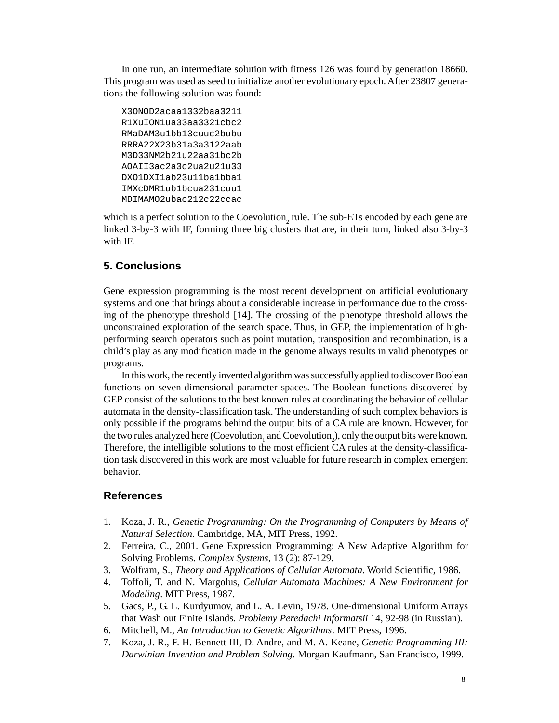In one run, an intermediate solution with fitness 126 was found by generation 18660. This program was used as seed to initialize another evolutionary epoch. After 23807 generations the following solution was found:

```
X3ONOD2acaa1332baa3211
R1XuION1ua33aa3321cbc2
RMaDAM3u1bb13cuuc2bubu
RRRA22X23b31a3a3122aab
M3D33NM2b21u22aa31bc2b
AOAII3ac2a3c2ua2u21u33
DXO1DXI1ab23u11ba1bba1
IMXcDMR1ub1bcua231cuu1
MDIMAMO2ubac212c22ccac
```
which is a perfect solution to the Coevolution<sub>2</sub> rule. The sub-ETs encoded by each gene are linked 3-by-3 with IF, forming three big clusters that are, in their turn, linked also 3-by-3 with IF.

# **5. Conclusions**

Gene expression programming is the most recent development on artificial evolutionary systems and one that brings about a considerable increase in performance due to the crossing of the phenotype threshold [14]. The crossing of the phenotype threshold allows the unconstrained exploration of the search space. Thus, in GEP, the implementation of highperforming search operators such as point mutation, transposition and recombination, is a child's play as any modification made in the genome always results in valid phenotypes or programs.

In this work, the recently invented algorithm was successfully applied to discover Boolean functions on seven-dimensional parameter spaces. The Boolean functions discovered by GEP consist of the solutions to the best known rules at coordinating the behavior of cellular automata in the density-classification task. The understanding of such complex behaviors is only possible if the programs behind the output bits of a CA rule are known. However, for the two rules analyzed here (Coevolution<sub>1</sub> and Coevolution<sub>2</sub>), only the output bits were known. Therefore, the intelligible solutions to the most efficient CA rules at the density-classification task discovered in this work are most valuable for future research in complex emergent behavior.

# **References**

- 1. Koza, J. R., *Genetic Programming: On the Programming of Computers by Means of Natural Selection*. Cambridge, MA, MIT Press, 1992.
- 2. Ferreira, C., 2001. Gene Expression Programming: A New Adaptive Algorithm for Solving Problems. *Complex Systems*, 13 (2): 87-129.
- 3. Wolfram, S., *Theory and Applications of Cellular Automata*. World Scientific, 1986.
- 4. Toffoli, T. and N. Margolus, *Cellular Automata Machines: A New Environment for Modeling*. MIT Press, 1987.
- 5. Gacs, P., G. L. Kurdyumov, and L. A. Levin, 1978. One-dimensional Uniform Arrays that Wash out Finite Islands. *Problemy Peredachi Informatsii* 14, 92-98 (in Russian).
- 6. Mitchell, M., *An Introduction to Genetic Algorithms*. MIT Press, 1996.
- 7. Koza, J. R., F. H. Bennett III, D. Andre, and M. A. Keane, *Genetic Programming III: Darwinian Invention and Problem Solving*. Morgan Kaufmann, San Francisco, 1999.